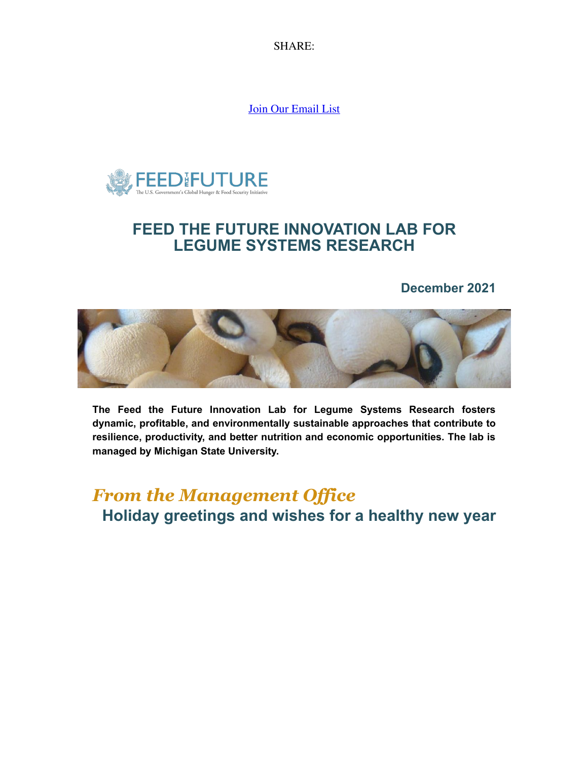SH[AR](https://s.rs6.net/t?e=yLADs8EHXpE&c=1&r=1)E:

[Join Our Email List](https://visitor.constantcontact.com/d.jsp?m=1132345858318&p=oi)



### **FEED THE FUTURE INNOVATION LAB FOR LEGUME SYSTEMS RESEARCH**

#### **December 2021**



**The Feed the Future Innovation Lab for Legume Systems Research fosters dynamic, profitable, and environmentally sustainable approaches that contribute to resilience, productivity, and better nutrition and economic opportunities. The lab is managed by Michigan State University.**

*From the Management Office* **Holiday greetings and wishes for a healthy new year**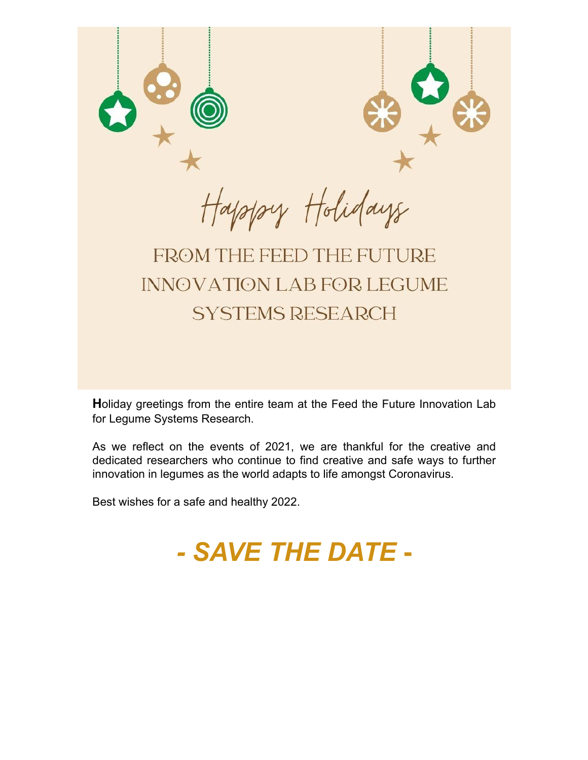

**H**oliday greetings from the entire team at the Feed the Future Innovation Lab for Legume Systems Research.

As we reflect on the events of 2021, we are thankful for the creative and dedicated researchers who continue to find creative and safe ways to further innovation in legumes as the world adapts to life amongst Coronavirus.

Best wishes for a safe and healthy 2022.

# *- SAVE THE DATE* **-**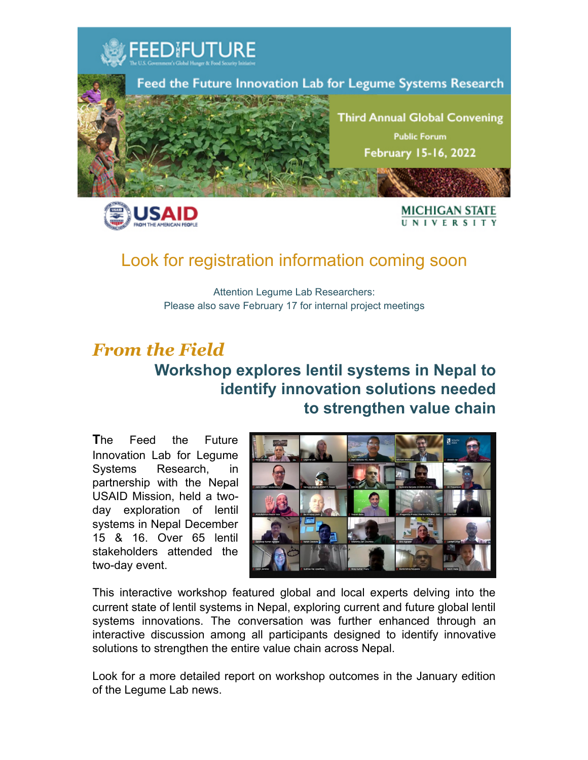

## Look for registration information coming soon

Attention Legume Lab Researchers: Please also save February 17 for internal project meetings

## *From the Field* **Workshop explores lentil systems in Nepal to identify innovation solutions needed to strengthen value chain**

**T**he Feed the Future Innovation Lab for Legume Systems Research, in partnership with the Nepal USAID Mission, held a twoday exploration of lentil systems in Nepal December 15 & 16. Over 65 lentil stakeholders attended the two-day event.



This interactive workshop featured global and local experts delving into the current state of lentil systems in Nepal, exploring current and future global lentil systems innovations. The conversation was further enhanced through an interactive discussion among all participants designed to identify innovative solutions to strengthen the entire value chain across Nepal.

Look for a more detailed report on workshop outcomes in the January edition of the Legume Lab news.